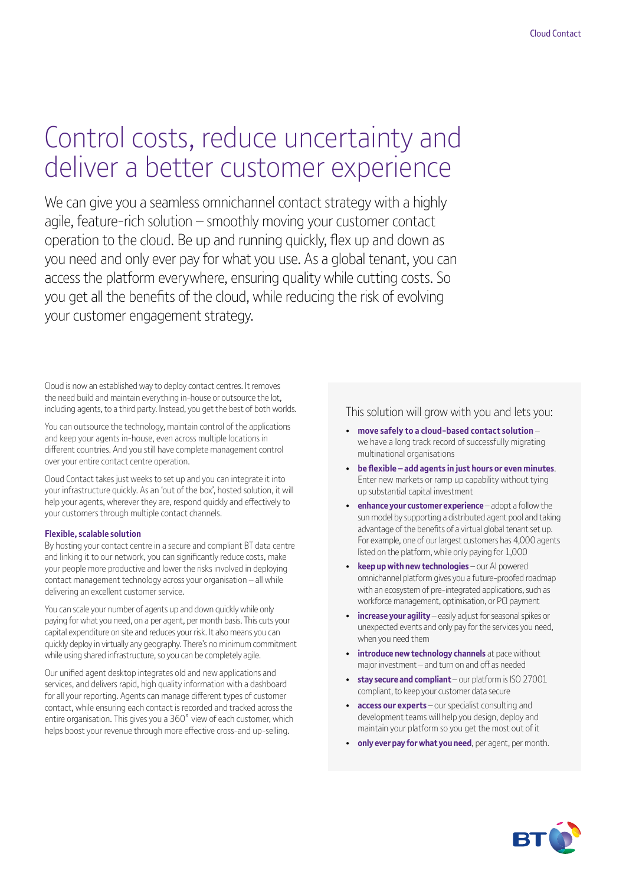# Control costs, reduce uncertainty and deliver a better customer experience

We can give you a seamless omnichannel contact strategy with a highly agile, feature-rich solution – smoothly moving your customer contact operation to the cloud. Be up and running quickly, flex up and down as you need and only ever pay for what you use. As a global tenant, you can access the platform everywhere, ensuring quality while cutting costs. So you get all the benefits of the cloud, while reducing the risk of evolving your customer engagement strategy.

Cloud is now an established way to deploy contact centres. It removes the need build and maintain everything in-house or outsource the lot, including agents, to a third party. Instead, you get the best of both worlds.

You can outsource the technology, maintain control of the applications and keep your agents in-house, even across multiple locations in different countries. And you still have complete management control over your entire contact centre operation.

Cloud Contact takes just weeks to set up and you can integrate it into your infrastructure quickly. As an 'out of the box', hosted solution, it will help your agents, wherever they are, respond quickly and effectively to your customers through multiple contact channels.

#### **Flexible,scalable solution**

By hosting your contact centre in a secure and compliant BT data centre and linking it to our network, you can significantly reduce costs, make your people more productive and lower the risks involved in deploying contact management technology across your organisation – all while delivering an excellent customer service.

You can scale your number of agents up and down quickly while only paying for what you need, on a per agent, per month basis. This cuts your capital expenditure on site and reduces your risk. It also means you can quickly deploy in virtually any geography. There's no minimum commitment while using shared infrastructure, so you can be completely agile.

Our unified agent desktop integrates old and new applications and services, and delivers rapid, high quality information with a dashboard for all your reporting. Agents can manage different types of customer contact, while ensuring each contact is recorded and tracked across the entire organisation. This gives you a 360˚ view of each customer, which helps boost your revenue through more effective cross-and up-selling.

This solution will grow with you and lets you:

- **move safely to a cloud-based contact solution**  we have a long track record of successfully migrating multinational organisations
- **be flexible – add agentsin just hours or even minutes**. Enter new markets or ramp up capability without tying up substantial capital investment
- **enhance your customer experience** adopt a follow the sun model by supporting a distributed agent pool and taking advantage of the benefits of a virtual global tenant set up. For example, one of our largest customers has 4,000 agents listed on the platform, while only paying for 1,000
- **keepupwith newtechnologies** our AI powered omnichannel platform gives you a future-proofed roadmap with an ecosystem of pre-integrated applications, such as workforce management, optimisation, or PCI payment
- **increase your agility** easily adjust for seasonal spikes or unexpected events and only pay for the services you need, when you need them
- **introduce newtechnology channels** at pace without major investment – and turn on and off as needed
- **stay secure and compliant** our platform is ISO 27001 compliant, to keep your customer data secure
- **access our experts** our specialist consulting and development teams will help you design, deploy and maintain your platform so you get the most out of it
- **only everpay forwhat you need**, per agent, per month.